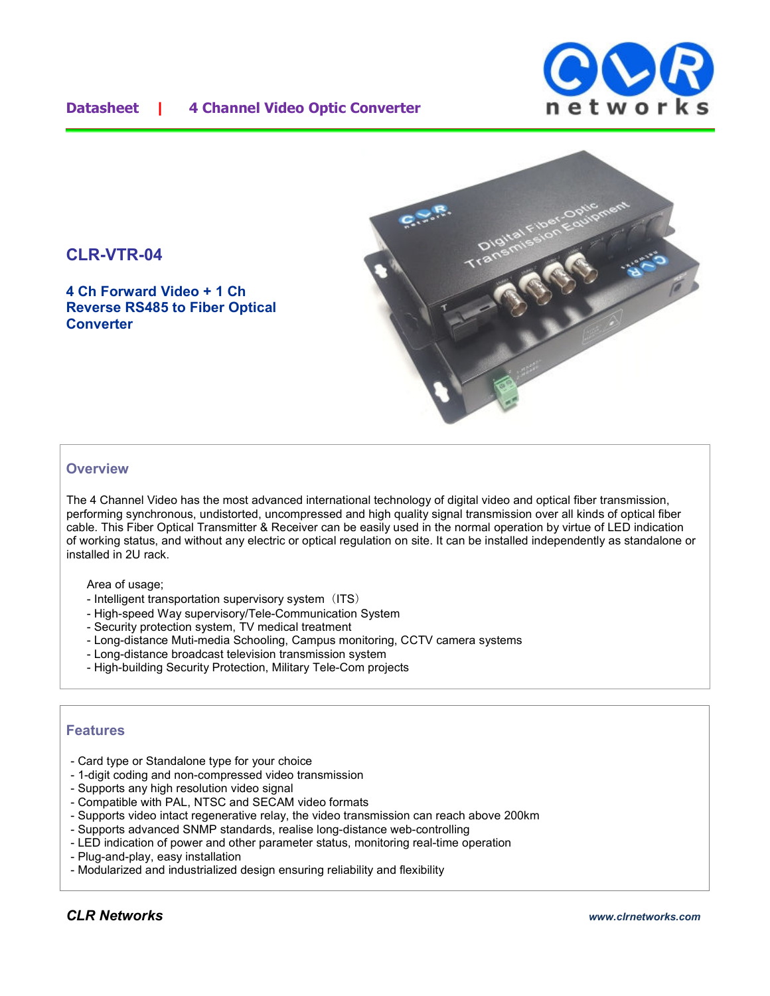### **Datasheet | 4 Channel Video Optic Converter**





## **CLR-VTR-04**

**4 Ch Forward Video + 1 Ch Reverse RS485 to Fiber Optical Converter**

#### **Overview**

The 4 Channel Video has the most advanced international technology of digital video and optical fiber transmission, performing synchronous, undistorted, uncompressed and high quality signal transmission over all kinds of optical fiber cable. This Fiber Optical Transmitter & Receiver can be easily used in the normal operation by virtue of LED indication of working status, and without any electric or optical regulation on site. It can be installed independently as standalone or installed in 2U rack.

Area of usage;

- Intelligent transportation supervisory system (ITS)
- High-speed Way supervisory/Tele-Communication System
- Security protection system, TV medical treatment
- Long-distance Muti-media Schooling, Campus monitoring, CCTV camera systems
- Long-distance broadcast television transmission system
- High-building Security Protection, Military Tele-Com projects

#### **Features**

- Card type or Standalone type for your choice
- 1-digit coding and non-compressed video transmission
- Supports any high resolution video signal
- Compatible with PAL, NTSC and SECAM video formats
- Supports video intact regenerative relay, the video transmission can reach above 200km
- Supports advanced SNMP standards, realise long-distance web-controlling
- LED indication of power and other parameter status, monitoring real-time operation
- Plug-and-play, easy installation
- Modularized and industrialized design ensuring reliability and flexibility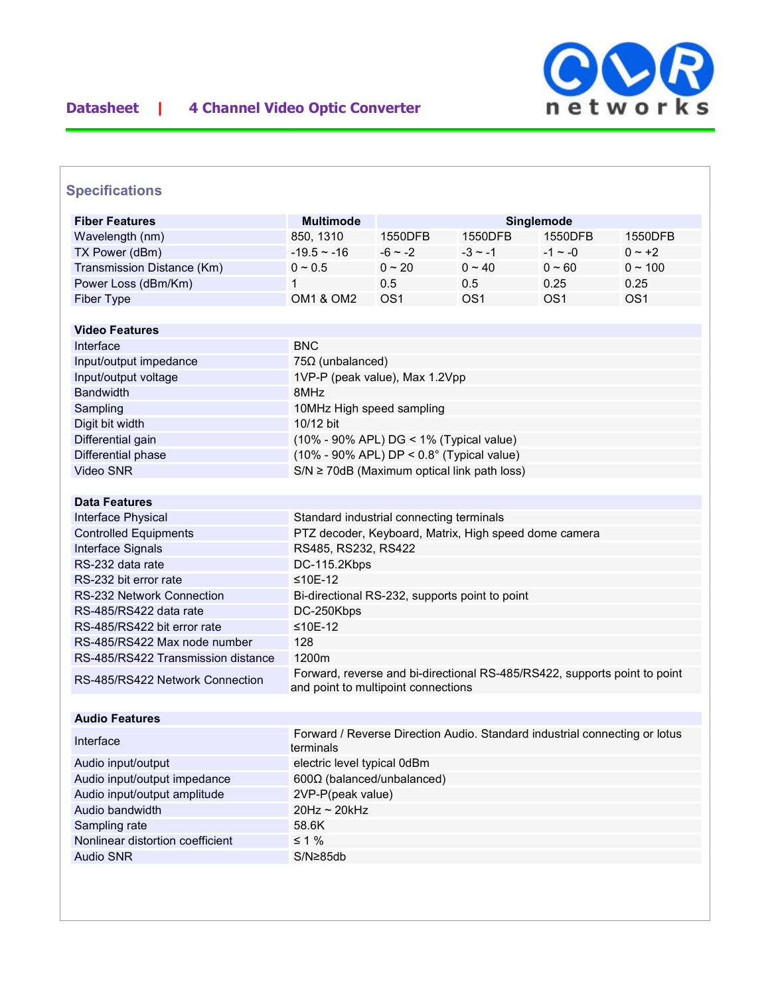

## **Specifications**

| <b>Fiber Features</b>              | <b>Multimode</b><br>Singlemode                                                          |                 |                 |                 |                 |  |
|------------------------------------|-----------------------------------------------------------------------------------------|-----------------|-----------------|-----------------|-----------------|--|
| Wavelength (nm)                    | 850, 1310                                                                               | 1550DFB         | 1550DFB         | 1550DFB         | 1550DFB         |  |
| TX Power (dBm)                     | $-19.5 - 16$                                                                            | $-6 - 2$        | $-3 \sim -1$    | $-1 \sim -0$    | $0 - +2$        |  |
| Transmission Distance (Km)         | $0 \sim 0.5$                                                                            | $0 \sim 20$     | $0 \sim 40$     | $0 - 60$        | $0 \sim 100$    |  |
| Power Loss (dBm/Km)                | 1                                                                                       | 0.5             | 0.5             | 0.25            | 0.25            |  |
| Fiber Type                         | <b>OM1 &amp; OM2</b>                                                                    | OS <sub>1</sub> | OS <sub>1</sub> | OS <sub>1</sub> | OS <sub>1</sub> |  |
|                                    |                                                                                         |                 |                 |                 |                 |  |
| <b>Video Features</b>              |                                                                                         |                 |                 |                 |                 |  |
| Interface                          | <b>BNC</b>                                                                              |                 |                 |                 |                 |  |
| Input/output impedance             | $75\Omega$ (unbalanced)                                                                 |                 |                 |                 |                 |  |
| Input/output voltage               | 1VP-P (peak value), Max 1.2Vpp                                                          |                 |                 |                 |                 |  |
| <b>Bandwidth</b>                   | 8MHz                                                                                    |                 |                 |                 |                 |  |
| Sampling                           | 10MHz High speed sampling                                                               |                 |                 |                 |                 |  |
| Digit bit width                    | 10/12 bit                                                                               |                 |                 |                 |                 |  |
| Differential gain                  | (10% - 90% APL) DG < 1% (Typical value)                                                 |                 |                 |                 |                 |  |
| Differential phase                 | $(10\% - 90\%$ APL) DP < $0.8^{\circ}$ (Typical value)                                  |                 |                 |                 |                 |  |
| Video SNR                          | $S/N \ge 70$ dB (Maximum optical link path loss)                                        |                 |                 |                 |                 |  |
|                                    |                                                                                         |                 |                 |                 |                 |  |
| <b>Data Features</b>               |                                                                                         |                 |                 |                 |                 |  |
| Interface Physical                 | Standard industrial connecting terminals                                                |                 |                 |                 |                 |  |
| <b>Controlled Equipments</b>       | PTZ decoder, Keyboard, Matrix, High speed dome camera                                   |                 |                 |                 |                 |  |
| Interface Signals                  | RS485, RS232, RS422                                                                     |                 |                 |                 |                 |  |
| RS-232 data rate                   | DC-115.2Kbps                                                                            |                 |                 |                 |                 |  |
| RS-232 bit error rate              | $≤10E-12$                                                                               |                 |                 |                 |                 |  |
| <b>RS-232 Network Connection</b>   | Bi-directional RS-232, supports point to point                                          |                 |                 |                 |                 |  |
| RS-485/RS422 data rate             | DC-250Kbps                                                                              |                 |                 |                 |                 |  |
| RS-485/RS422 bit error rate        | $≤10E-12$                                                                               |                 |                 |                 |                 |  |
| RS-485/RS422 Max node number       | 128                                                                                     |                 |                 |                 |                 |  |
| RS-485/RS422 Transmission distance | 1200m                                                                                   |                 |                 |                 |                 |  |
| RS-485/RS422 Network Connection    | Forward, reverse and bi-directional RS-485/RS422, supports point to point               |                 |                 |                 |                 |  |
|                                    | and point to multipoint connections                                                     |                 |                 |                 |                 |  |
| <b>Audio Features</b>              |                                                                                         |                 |                 |                 |                 |  |
|                                    |                                                                                         |                 |                 |                 |                 |  |
| Interface                          | Forward / Reverse Direction Audio. Standard industrial connecting or lotus<br>terminals |                 |                 |                 |                 |  |
| Audio input/output                 | electric level typical 0dBm                                                             |                 |                 |                 |                 |  |
| Audio input/output impedance       | 600Ω (balanced/unbalanced)                                                              |                 |                 |                 |                 |  |
| Audio input/output amplitude       | 2VP-P(peak value)                                                                       |                 |                 |                 |                 |  |
| Audio bandwidth                    | 20Hz ~ 20kHz                                                                            |                 |                 |                 |                 |  |
| Sampling rate                      | 58.6K                                                                                   |                 |                 |                 |                 |  |
| Nonlinear distortion coefficient   | $\leq 1\%$                                                                              |                 |                 |                 |                 |  |
| <b>Audio SNR</b>                   | S/N≥85db                                                                                |                 |                 |                 |                 |  |
|                                    |                                                                                         |                 |                 |                 |                 |  |